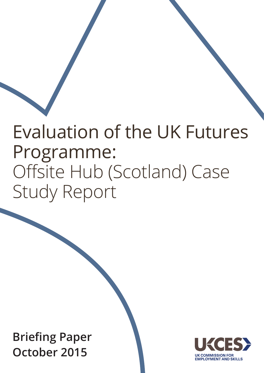# Evaluation of the UK Futures Programme: Offsite Hub (Scotland) Case Study Report

**Briefing Paper October 2015**

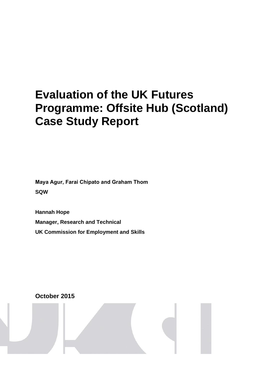# **Evaluation of the UK Futures Programme: Offsite Hub (Scotland) Case Study Report**

**Maya Agur, Farai Chipato and Graham Thom SQW**

**Hannah Hope Manager, Research and Technical UK Commission for Employment and Skills**

**October 2015**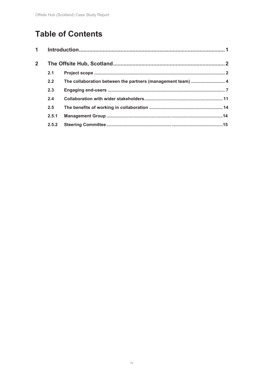# **Table of Contents**

| $\overline{2}$ |       |                                                             |  |  |
|----------------|-------|-------------------------------------------------------------|--|--|
|                | 2.1   |                                                             |  |  |
|                | 2.2   | The collaboration between the partners (management team)  4 |  |  |
|                | 2.3   |                                                             |  |  |
|                | 2.4   |                                                             |  |  |
|                | 2.5   |                                                             |  |  |
|                | 2.5.1 |                                                             |  |  |
|                | 2.5.2 |                                                             |  |  |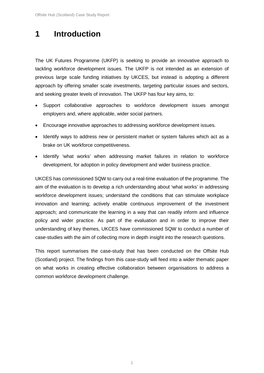## **1 Introduction**

The UK Futures Programme (UKFP) is seeking to provide an innovative approach to tackling workforce development issues. The UKFP is not intended as an extension of previous large scale funding initiatives by UKCES, but instead is adopting a different approach by offering smaller scale investments, targeting particular issues and sectors, and seeking greater levels of innovation. The UKFP has four key aims, to:

- Support collaborative approaches to workforce development issues amongst employers and, where applicable, wider social partners.
- Encourage innovative approaches to addressing workforce development issues.
- Identify ways to address new or persistent market or system failures which act as a brake on UK workforce competitiveness.
- Identify 'what works' when addressing market failures in relation to workforce development, for adoption in policy development and wider business practice.

UKCES has commissioned SQW to carry out a real-time evaluation of the programme. The aim of the evaluation is to develop a rich understanding about 'what works' in addressing workforce development issues; understand the conditions that can stimulate workplace innovation and learning; actively enable continuous improvement of the investment approach; and communicate the learning in a way that can readily inform and influence policy and wider practice. As part of the evaluation and in order to improve their understanding of key themes, UKCES have commissioned SQW to conduct a number of case-studies with the aim of collecting more in depth insight into the research questions.

This report summarises the case-study that has been conducted on the Offsite Hub (Scotland) project. The findings from this case-study will feed into a wider thematic paper on what works in creating effective collaboration between organisations to address a common workforce development challenge.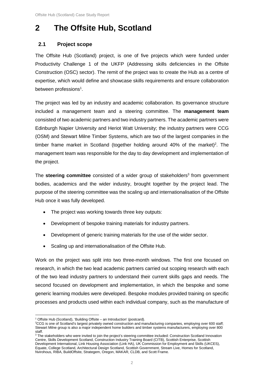## **2 The Offsite Hub, Scotland**

#### **2.1 Project scope**

The Offsite Hub (Scotland) project, is one of five projects which were funded under Productivity Challenge 1 of the UKFP (Addressing skills deficiencies in the Offsite Construction (OSC) sector). The remit of the project was to create the Hub as a centre of expertise, which would define and showcase skills requirements and ensure collaboration between professions<sup>1</sup>.

The project was led by an industry and academic collaboration. Its governance structure included a management team and a steering committee. The **management team** consisted of two academic partners and two industry partners. The academic partners were Edinburgh Napier University and Heriot Watt University; the industry partners were CCG (OSM) and Stewart Milne Timber Systems, which are two of the largest companies in the timber frame market in Scotland (together holding around 40% of the market)<sup>2</sup>. The management team was responsible for the day to day development and implementation of the project.

The **steering committee** consisted of a wider group of stakeholders<sup>3</sup> from government bodies, academics and the wider industry, brought together by the project lead. The purpose of the steering committee was the scaling up and internationalisation of the Offsite Hub once it was fully developed.

- The project was working towards three key outputs:
- Development of bespoke training materials for industry partners.
- Development of generic training materials for the use of the wider sector.
- Scaling up and internationalisation of the Offsite Hub.

Work on the project was split into two three-month windows. The first one focused on research, in which the two lead academic partners carried out scoping research with each of the two lead industry partners to understand their current skills gaps and needs. The second focused on development and implementation, in which the bespoke and some generic learning modules were developed. Bespoke modules provided training on specific processes and products used within each individual company, such as the manufacture of

 $\overline{a}$ <sup>1</sup> Offsite Hub (Scotland), 'Building Offsite – an Introduction' (postcard).

<sup>2</sup> CCG is one of Scotland's largest privately owned construction and manufacturing companies, employing over 600 staff; Stewart Milne group is also a major independent home builders and timber systems manufacturers, employing over 800 staff.

<sup>&</sup>lt;sup>3</sup> The stakeholders who were invited to join the project's steering committee included: Construction Scotland Innovation Centre, Skills Development Scotland, Construction Industry Training Board (CITB), Scottish Enterprise, Scottish Development International, Link Housing Association (Link HA), UK Commission for Employment and Skills (UKCES), Equate, College Scotland, Architectural Design Scotland, Scottish Government, Stream Live, Homes for Scotland, Nvirohous, RIBA, BuildOffsite, Strategem, Oregon, MAKAR, CLDB, and Scott Frame.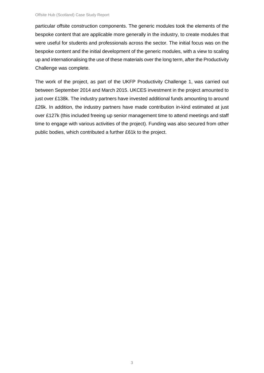particular offsite construction components. The generic modules took the elements of the bespoke content that are applicable more generally in the industry, to create modules that were useful for students and professionals across the sector. The initial focus was on the bespoke content and the initial development of the generic modules, with a view to scaling up and internationalising the use of these materials over the long term, after the Productivity Challenge was complete.

The work of the project, as part of the UKFP Productivity Challenge 1, was carried out between September 2014 and March 2015. UKCES investment in the project amounted to just over £138k. The industry partners have invested additional funds amounting to around £26k. In addition, the industry partners have made contribution in-kind estimated at just over £127k (this included freeing up senior management time to attend meetings and staff time to engage with various activities of the project). Funding was also secured from other public bodies, which contributed a further £61k to the project.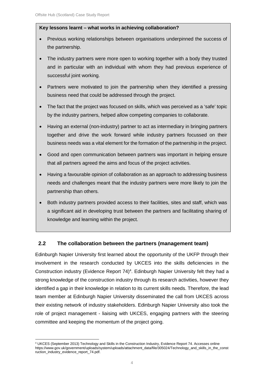#### **Key lessons learnt – what works in achieving collaboration?**

- Previous working relationships between organisations underpinned the success of the partnership.
- The industry partners were more open to working together with a body they trusted and in particular with an individual with whom they had previous experience of successful joint working.
- Partners were motivated to join the partnership when they identified a pressing business need that could be addressed through the project.
- The fact that the project was focused on skills, which was perceived as a 'safe' topic by the industry partners, helped allow competing companies to collaborate.
- Having an external (non-industry) partner to act as intermediary in bringing partners together and drive the work forward while industry partners focussed on their business needs was a vital element for the formation of the partnership in the project.
- Good and open communication between partners was important in helping ensure that all partners agreed the aims and focus of the project activities.
- Having a favourable opinion of collaboration as an approach to addressing business needs and challenges meant that the industry partners were more likely to join the partnership than others.
- Both industry partners provided access to their facilities, sites and staff, which was a significant aid in developing trust between the partners and facilitating sharing of knowledge and learning within the project.

#### **2.2 The collaboration between the partners (management team)**

Edinburgh Napier University first learned about the opportunity of the UKFP through their involvement in the research conducted by UKCES into the skills deficiencies in the Construction industry (Evidence Report 74)<sup>4</sup>. Edinburgh Napier University felt they had a strong knowledge of the construction industry through its research activities, however they identified a gap in their knowledge in relation to its current skills needs. Therefore, the lead team member at Edinburgh Napier University disseminated the call from UKCES across their existing network of industry stakeholders. Edinburgh Napier University also took the role of project management - liaising with UKCES, engaging partners with the steering committee and keeping the momentum of the project going.

 $\overline{a}$ <sup>4</sup> UKCES (September 2013) Technology and Skills in the Construction Industry, Evidence Report 74. Accesses online https://www.gov.uk/government/uploads/system/uploads/attachment\_data/file/305024/Technology\_and\_skills\_in\_the\_const ruction\_industry\_evidence\_report\_74.pdf.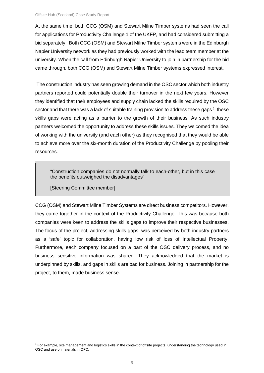At the same time, both CCG (OSM) and Stewart Milne Timber systems had seen the call for applications for Productivity Challenge 1 of the UKFP, and had considered submitting a bid separately. Both CCG (OSM) and Stewart Milne Timber systems were in the Edinburgh Napier University network as they had previously worked with the lead team member at the university. When the call from Edinburgh Napier University to join in partnership for the bid came through, both CCG (OSM) and Stewart Milne Timber systems expressed interest.

The construction industry has seen growing demand in the OSC sector which both industry partners reported could potentially double their turnover in the next few years. However they identified that their employees and supply chain lacked the skills required by the OSC sector and that there was a lack of suitable training provision to address these gaps<sup>5</sup>; these skills gaps were acting as a barrier to the growth of their business. As such industry partners welcomed the opportunity to address these skills issues. They welcomed the idea of working with the university (and each other) as they recognised that they would be able to achieve more over the six-month duration of the Productivity Challenge by pooling their resources.

"Construction companies do not normally talk to each-other, but in this case the benefits outweighed the disadvantages"

[Steering Committee member]

CCG (OSM) and Stewart Milne Timber Systems are direct business competitors. However, they came together in the context of the Productivity Challenge. This was because both companies were keen to address the skills gaps to improve their respective businesses. The focus of the project, addressing skills gaps, was perceived by both industry partners as a 'safe' topic for collaboration, having low risk of loss of Intellectual Property. Furthermore, each company focused on a part of the OSC delivery process, and no business sensitive information was shared. They acknowledged that the market is underpinned by skills, and gaps in skills are bad for business. Joining in partnership for the project, to them, made business sense.

 $\overline{a}$ <sup>5</sup> For example, site management and logistics skills in the context of offsite projects, understanding the technology used in OSC and use of materials in OFC.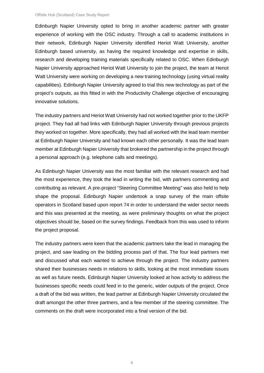Edinburgh Napier University opted to bring in another academic partner with greater experience of working with the OSC industry. Through a call to academic institutions in their network, Edinburgh Napier University identified Heriot Watt University, another Edinburgh based university, as having the required knowledge and expertise in skills, research and developing training materials specifically related to OSC. When Edinburgh Napier University approached Heriot Watt University to join the project, the team at Heriot Watt University were working on developing a new training technology (using virtual reality capabilities). Edinburgh Napier University agreed to trial this new technology as part of the project's outputs, as this fitted in with the Productivity Challenge objective of encouraging innovative solutions.

The industry partners and Heriot Watt University had not worked together prior to the UKFP project. They had all had links with Edinburgh Napier University through previous projects they worked on together. More specifically, they had all worked with the lead team member at Edinburgh Napier University and had known each other personally. It was the lead team member at Edinburgh Napier University that brokered the partnership in the project through a personal approach (e.g. telephone calls and meetings).

As Edinburgh Napier University was the most familiar with the relevant research and had the most experience, they took the lead in writing the bid, with partners commenting and contributing as relevant. A pre-project "Steering Committee Meeting" was also held to help shape the proposal. Edinburgh Napier undertook a snap survey of the main offsite operators in Scotland based upon report 74 in order to understand the wider sector needs and this was presented at the meeting, as were preliminary thoughts on what the project objectives should be, based on the survey findings. Feedback from this was used to inform the project proposal.

The industry partners were keen that the academic partners take the lead in managing the project, and saw leading on the bidding process part of that. The four lead partners met and discussed what each wanted to achieve through the project. The industry partners shared their businesses needs in relations to skills, looking at the most immediate issues as well as future needs. Edinburgh Napier University looked at how activity to address the businesses specific needs could feed in to the generic, wider outputs of the project. Once a draft of the bid was written, the lead partner at Edinburgh Napier University circulated the draft amongst the other three partners, and a few member of the steering committee. The comments on the draft were incorporated into a final version of the bid.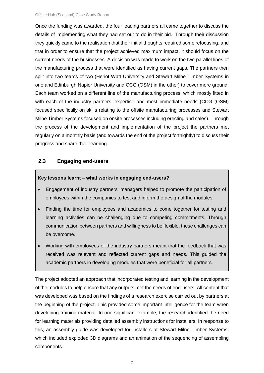Once the funding was awarded, the four leading partners all came together to discuss the details of implementing what they had set out to do in their bid. Through their discussion they quickly came to the realisation that their initial thoughts required some refocusing, and that in order to ensure that the project achieved maximum impact, it should focus on the current needs of the businesses. A decision was made to work on the two parallel lines of the manufacturing process that were identified as having current gaps. The partners then split into two teams of two (Heriot Watt University and Stewart Milne Timber Systems in one and Edinburgh Napier University and CCG (OSM) in the other) to cover more ground. Each team worked on a different line of the manufacturing process, which mostly fitted in with each of the industry partners' expertise and most immediate needs (CCG (OSM) focused specifically on skills relating to the offsite manufacturing processes and Stewart Milne Timber Systems focused on onsite processes including erecting and sales). Through the process of the development and implementation of the project the partners met regularly on a monthly basis (and towards the end of the project fortnightly) to discuss their progress and share their learning.

#### **2.3 Engaging end-users**

#### **Key lessons learnt – what works in engaging end-users?**

- Engagement of industry partners' managers helped to promote the participation of employees within the companies to test and inform the design of the modules.
- Finding the time for employees and academics to come together for testing and learning activities can be challenging due to competing commitments. Through communication between partners and willingness to be flexible, these challenges can be overcome.
- Working with employees of the industry partners meant that the feedback that was received was relevant and reflected current gaps and needs. This guided the academic partners in developing modules that were beneficial for all partners.

The project adopted an approach that incorporated testing and learning in the development of the modules to help ensure that any outputs met the needs of end-users. All content that was developed was based on the findings of a research exercise carried out by partners at the beginning of the project. This provided some important intelligence for the team when developing training material. In one significant example, the research identified the need for learning materials providing detailed assembly instructions for installers. In response to this, an assembly guide was developed for installers at Stewart Milne Timber Systems, which included exploded 3D diagrams and an animation of the sequencing of assembling components.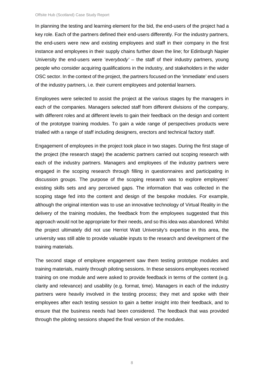In planning the testing and learning element for the bid, the end-users of the project had a key role. Each of the partners defined their end-users differently. For the industry partners, the end-users were new and existing employees and staff in their company in the first instance and employees in their supply chains further down the line; for Edinburgh Napier University the end-users were '*everybody'* – the staff of their industry partners, young people who consider acquiring qualifications in the industry, and stakeholders in the wider OSC sector. In the context of the project, the partners focused on the 'immediate' end users of the industry partners, i.e. their current employees and potential learners.

Employees were selected to assist the project at the various stages by the managers in each of the companies. Managers selected staff from different divisions of the company, with different roles and at different levels to gain their feedback on the design and content of the prototype training modules. To gain a wide range of perspectives products were trialled with a range of staff including designers, erectors and technical factory staff.

Engagement of employees in the project took place in two stages. During the first stage of the project (the research stage) the academic partners carried out scoping research with each of the industry partners. Managers and employees of the industry partners were engaged in the scoping research through filling in questionnaires and participating in discussion groups. The purpose of the scoping research was to explore employees' existing skills sets and any perceived gaps. The information that was collected in the scoping stage fed into the content and design of the bespoke modules. For example, although the original intention was to use an innovative technology of Virtual Reality in the delivery of the training modules, the feedback from the employees suggested that this approach would not be appropriate for their needs, and so this idea was abandoned. Whilst the project ultimately did not use Herriot Watt University's expertise in this area, the university was still able to provide valuable inputs to the research and development of the training materials.

The second stage of employee engagement saw them testing prototype modules and training materials, mainly through piloting sessions. In these sessions employees received training on one module and were asked to provide feedback in terms of the content (e.g. clarity and relevance) and usability (e.g. format, time). Managers in each of the industry partners were heavily involved in the testing process; they met and spoke with their employees after each testing session to gain a better insight into their feedback, and to ensure that the business needs had been considered. The feedback that was provided through the piloting sessions shaped the final version of the modules.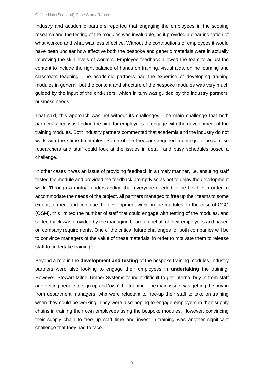Industry and academic partners reported that engaging the employees in the scoping research and the testing of the modules was invaluable, as it provided a clear indication of what worked and what was less effective. Without the contributions of employees it would have been unclear how effective both the bespoke and generic materials were in actually improving the skill levels of workers. Employee feedback allowed the team to adjust the content to include the right balance of hands on training, visual aids, online learning and classroom teaching. The academic partners had the expertise of developing training modules in general, but the content and structure of the bespoke modules was very much guided by the input of the end-users, which in turn was guided by the industry partners' business needs.

That said, this approach was not without its challenges. The main challenge that both partners faced was finding the time for employees to engage with the development of the training modules. Both industry partners commented that academia and the industry do not work with the same timetables. Some of the feedback required meetings in person, so researchers and staff could look at the issues in detail, and busy schedules posed a challenge.

In other cases it was an issue of providing feedback in a timely manner, i.e. ensuring staff tested the module and provided the feedback promptly so as not to delay the development work. Through a mutual understanding that everyone needed to be flexible in order to accommodate the needs of the project, all partners managed to free up their teams to some extent, to meet and continue the development work on the modules. In the case of CCG (OSM), this limited the number of staff that could engage with testing of the modules, and so feedback was provided by the managing board on behalf of their employees and based on company requirements. One of the critical future challenges for both companies will be to convince managers of the value of these materials, in order to motivate them to release staff to undertake training.

Beyond a role in the **development and testing** of the bespoke training modules, industry partners were also looking to engage their employees in **undertaking** the training. However, Stewart Milne Timber Systems found it difficult to get internal buy-in from staff and getting people to sign up and 'own' the training. The main issue was getting the buy-in from department managers, who were reluctant to free-up their staff to take on training when they could be working. They were also hoping to engage employers in their supply chains in training their own employees using the bespoke modules. However, convincing their supply chain to free up staff time and invest in training was another significant challenge that they had to face.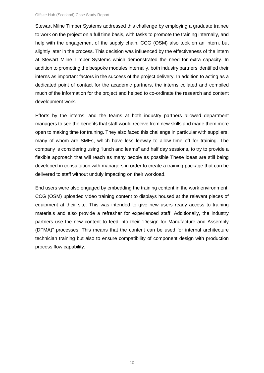Stewart Milne Timber Systems addressed this challenge by employing a graduate trainee to work on the project on a full time basis, with tasks to promote the training internally, and help with the engagement of the supply chain. CCG (OSM) also took on an intern, but slightly later in the process. This decision was influenced by the effectiveness of the intern at Stewart Milne Timber Systems which demonstrated the need for extra capacity. In addition to promoting the bespoke modules internally, both industry partners identified their interns as important factors in the success of the project delivery. In addition to acting as a dedicated point of contact for the academic partners, the interns collated and compiled much of the information for the project and helped to co-ordinate the research and content development work.

Efforts by the interns, and the teams at both industry partners allowed department managers to see the benefits that staff would receive from new skills and made them more open to making time for training. They also faced this challenge in particular with suppliers, many of whom are SMEs, which have less leeway to allow time off for training. The company is considering using "lunch and learns" and half day sessions, to try to provide a flexible approach that will reach as many people as possible These ideas are still being developed in consultation with managers in order to create a training package that can be delivered to staff without unduly impacting on their workload.

End users were also engaged by embedding the training content in the work environment. CCG (OSM) uploaded video training content to displays housed at the relevant pieces of equipment at their site. This was intended to give new users ready access to training materials and also provide a refresher for experienced staff. Additionally, the industry partners use the new content to feed into their "Design for Manufacture and Assembly (DFMA)" processes. This means that the content can be used for internal architecture technician training but also to ensure compatibility of component design with production process flow capability.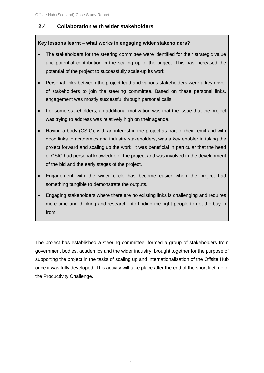#### **2.4 Collaboration with wider stakeholders**

#### **Key lessons learnt – what works in engaging wider stakeholders?**

- The stakeholders for the steering committee were identified for their strategic value and potential contribution in the scaling up of the project. This has increased the potential of the project to successfully scale-up its work.
- Personal links between the project lead and various stakeholders were a key driver of stakeholders to join the steering committee. Based on these personal links, engagement was mostly successful through personal calls.
- For some stakeholders, an additional motivation was that the issue that the project was trying to address was relatively high on their agenda.
- Having a body (CSIC), with an interest in the project as part of their remit and with good links to academics and industry stakeholders, was a key enabler in taking the project forward and scaling up the work. It was beneficial in particular that the head of CSIC had personal knowledge of the project and was involved in the development of the bid and the early stages of the project.
- Engagement with the wider circle has become easier when the project had something tangible to demonstrate the outputs.
- Engaging stakeholders where there are no existing links is challenging and requires more time and thinking and research into finding the right people to get the buy-in from.

The project has established a steering committee, formed a group of stakeholders from government bodies, academics and the wider industry, brought together for the purpose of supporting the project in the tasks of scaling up and internationalisation of the Offsite Hub once it was fully developed. This activity will take place after the end of the short lifetime of the Productivity Challenge.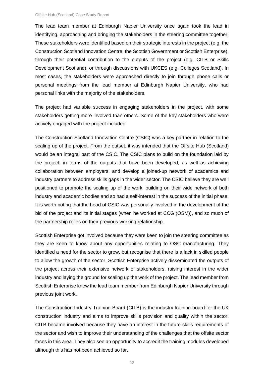The lead team member at Edinburgh Napier University once again took the lead in identifying, approaching and bringing the stakeholders in the steering committee together. These stakeholders were identified based on their strategic interests in the project (e.g. the Construction Scotland Innovation Centre, the Scottish Government or Scottish Enterprise), through their potential contribution to the outputs of the project (e.g. CITB or Skills Development Scotland), or through discussions with UKCES (e.g. Colleges Scotland). In most cases, the stakeholders were approached directly to join through phone calls or personal meetings from the lead member at Edinburgh Napier University, who had personal links with the majority of the stakeholders.

The project had variable success in engaging stakeholders in the project, with some stakeholders getting more involved than others. Some of the key stakeholders who were actively engaged with the project included:

The Construction Scotland Innovation Centre (CSIC) was a key partner in relation to the scaling up of the project. From the outset, it was intended that the Offsite Hub (Scotland) would be an integral part of the CSIC. The CSIC plans to build on the foundation laid by the project, in terms of the outputs that have been developed, as well as achieving collaboration between employers, and develop a joined-up network of academics and industry partners to address skills gaps in the wider sector. The CSIC believe they are well positioned to promote the scaling up of the work, building on their wide network of both industry and academic bodies and so had a self-interest in the success of the initial phase. It is worth noting that the head of CSIC was personally involved in the development of the bid of the project and its initial stages (when he worked at CCG (OSM)), and so much of the partnership relies on their previous working relationship.

Scottish Enterprise got involved because they were keen to join the steering committee as they are keen to know about any opportunities relating to OSC manufacturing. They identified a need for the sector to grow, but recognise that there is a lack in skilled people to allow the growth of the sector. Scottish Enterprise actively disseminated the outputs of the project across their extensive network of stakeholders, raising interest in the wider industry and laying the ground for scaling up the work of the project. The lead member from Scottish Enterprise knew the lead team member from Edinburgh Napier University through previous joint work.

The Construction Industry Training Board (CITB) is the industry training board for the UK construction industry and aims to improve skills provision and quality within the sector. CITB became involved because they have an interest in the future skills requirements of the sector and wish to improve their understanding of the challenges that the offsite sector faces in this area. They also see an opportunity to accredit the training modules developed although this has not been achieved so far.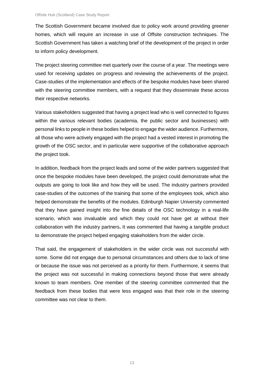The Scottish Government became involved due to policy work around providing greener homes, which will require an increase in use of Offsite construction techniques. The Scottish Government has taken a watching brief of the development of the project in order to inform policy development.

The project steering committee met quarterly over the course of a year. The meetings were used for receiving updates on progress and reviewing the achievements of the project. Case-studies of the implementation and effects of the bespoke modules have been shared with the steering committee members, with a request that they disseminate these across their respective networks.

Various stakeholders suggested that having a project lead who is well connected to figures within the various relevant bodies (academia, the public sector and businesses) with personal links to people in these bodies helped to engage the wider audience. Furthermore, all those who were actively engaged with the project had a vested interest in promoting the growth of the OSC sector, and in particular were supportive of the collaborative approach the project took.

In addition, feedback from the project leads and some of the wider partners suggested that once the bespoke modules have been developed, the project could demonstrate what the outputs are going to look like and how they will be used. The industry partners provided case-studies of the outcomes of the training that some of the employees took, which also helped demonstrate the benefits of the modules. Edinburgh Napier University commented that they have gained insight into the fine details of the OSC technology in a real-life scenario, which was invaluable and which they could not have get at without their collaboration with the industry partners**.** It was commented that having a tangible product to demonstrate the project helped engaging stakeholders from the wider circle.

That said, the engagement of stakeholders in the wider circle was not successful with some. Some did not engage due to personal circumstances and others due to lack of time or because the issue was not perceived as a priority for them. Furthermore, it seems that the project was not successful in making connections beyond those that were already known to team members. One member of the steering committee commented that the feedback from these bodies that were less engaged was that their role in the steering committee was not clear to them.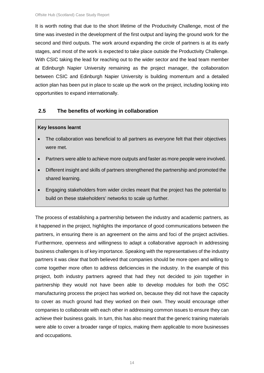It is worth noting that due to the short lifetime of the Productivity Challenge, most of the time was invested in the development of the first output and laying the ground work for the second and third outputs. The work around expanding the circle of partners is at its early stages, and most of the work is expected to take place outside the Productivity Challenge. With CSIC taking the lead for reaching out to the wider sector and the lead team member at Edinburgh Napier University remaining as the project manager, the collaboration between CSIC and Edinburgh Napier University is building momentum and a detailed action plan has been put in place to scale up the work on the project, including looking into opportunities to expand internationally.

#### **2.5 The benefits of working in collaboration**

#### **Key lessons learnt**

- The collaboration was beneficial to all partners as everyone felt that their objectives were met.
- Partners were able to achieve more outputs and faster as more people were involved.
- Different insight and skills of partners strengthened the partnership and promoted the shared learning.
- Engaging stakeholders from wider circles meant that the project has the potential to build on these stakeholders' networks to scale up further.

The process of establishing a partnership between the industry and academic partners, as it happened in the project, highlights the importance of good communications between the partners, in ensuring there is an agreement on the aims and foci of the project activities. Furthermore, openness and willingness to adapt a collaborative approach in addressing business challenges is of key importance. Speaking with the representatives of the industry partners it was clear that both believed that companies should be more open and willing to come together more often to address deficiencies in the industry. In the example of this project, both industry partners agreed that had they not decided to join together in partnership they would not have been able to develop modules for both the OSC manufacturing process the project has worked on, because they did not have the capacity to cover as much ground had they worked on their own. They would encourage other companies to collaborate with each other in addressing common issues to ensure they can achieve their business goals. In turn, this has also meant that the generic training materials were able to cover a broader range of topics, making them applicable to more businesses and occupations.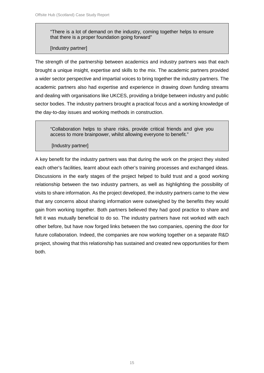"There is a lot of demand on the industry, coming together helps to ensure that there is a proper foundation going forward"

#### [Industry partner]

The strength of the partnership between academics and industry partners was that each brought a unique insight, expertise and skills to the mix. The academic partners provided a wider sector perspective and impartial voices to bring together the industry partners. The academic partners also had expertise and experience in drawing down funding streams and dealing with organisations like UKCES, providing a bridge between industry and public sector bodies. The industry partners brought a practical focus and a working knowledge of the day-to-day issues and working methods in construction.

"Collaboration helps to share risks, provide critical friends and give you access to more brainpower, whilst allowing everyone to benefit."

#### [Industry partner]

A key benefit for the industry partners was that during the work on the project they visited each other's facilities, learnt about each other's training processes and exchanged ideas. Discussions in the early stages of the project helped to build trust and a good working relationship between the two industry partners, as well as highlighting the possibility of visits to share information. As the project developed, the industry partners came to the view that any concerns about sharing information were outweighed by the benefits they would gain from working together. Both partners believed they had good practice to share and felt it was mutually beneficial to do so. The industry partners have not worked with each other before, but have now forged links between the two companies, opening the door for future collaboration. Indeed, the companies are now working together on a separate R&D project, showing that this relationship has sustained and created new opportunities for them both.